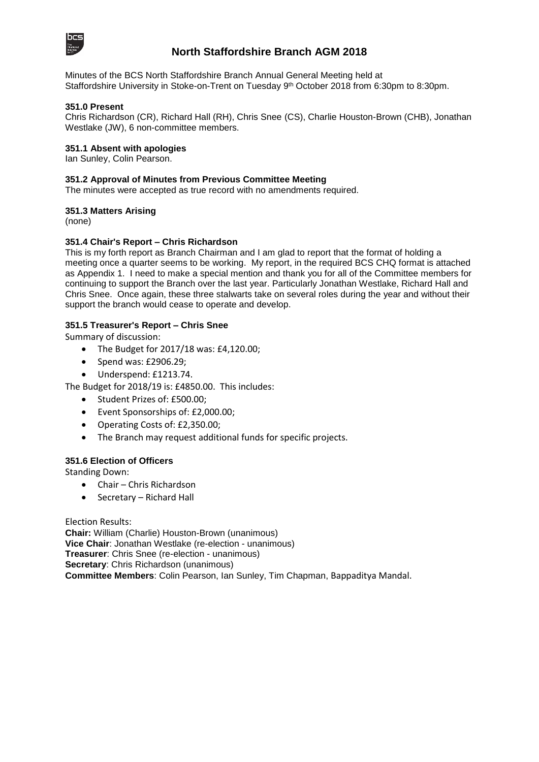

### **North Staffordshire Branch AGM 2018**

Minutes of the BCS North Staffordshire Branch Annual General Meeting held at Staffordshire University in Stoke-on-Trent on Tuesday 9<sup>th</sup> October 2018 from 6:30pm to 8:30pm.

#### **351.0 Present**

Chris Richardson (CR), Richard Hall (RH), Chris Snee (CS), Charlie Houston-Brown (CHB), Jonathan Westlake (JW), 6 non-committee members.

#### **351.1 Absent with apologies**

Ian Sunley, Colin Pearson.

### **351.2 Approval of Minutes from Previous Committee Meeting**

The minutes were accepted as true record with no amendments required.

#### **351.3 Matters Arising**

(none)

### **351.4 Chair's Report – Chris Richardson**

This is my forth report as Branch Chairman and I am glad to report that the format of holding a meeting once a quarter seems to be working. My report, in the required BCS CHQ format is attached as Appendix 1. I need to make a special mention and thank you for all of the Committee members for continuing to support the Branch over the last year. Particularly Jonathan Westlake, Richard Hall and Chris Snee. Once again, these three stalwarts take on several roles during the year and without their support the branch would cease to operate and develop.

### **351.5 Treasurer's Report – Chris Snee**

Summary of discussion:

- The Budget for 2017/18 was: £4,120.00;
- Spend was: £2906.29;
- Underspend: £1213.74.

The Budget for 2018/19 is: £4850.00. This includes:

- Student Prizes of: £500.00;
- Event Sponsorships of: £2,000.00;
- Operating Costs of: £2,350.00;
- The Branch may request additional funds for specific projects.

#### **351.6 Election of Officers**

Standing Down:

- Chair Chris Richardson
- Secretary Richard Hall

Election Results:

**Chair:** William (Charlie) Houston-Brown (unanimous) **Vice Chair**: Jonathan Westlake (re-election - unanimous) **Treasurer**: Chris Snee (re-election - unanimous) **Secretary**: Chris Richardson (unanimous) **Committee Members**: Colin Pearson, Ian Sunley, Tim Chapman, Bappaditya Mandal.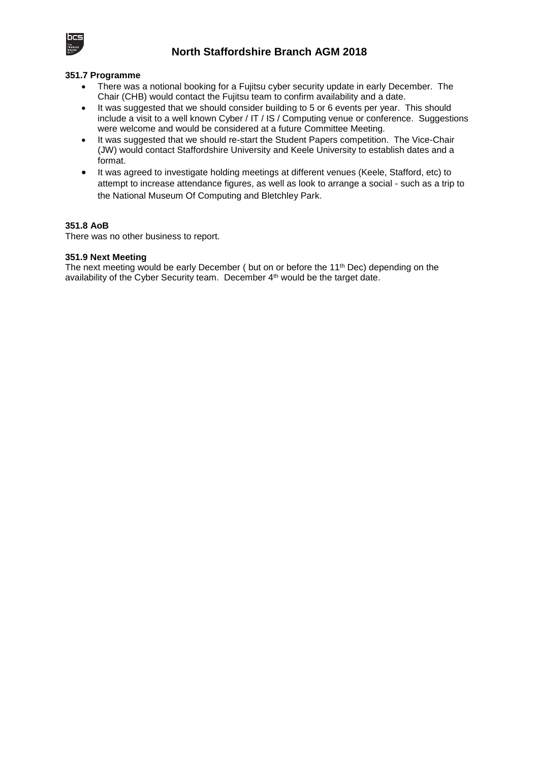

### **North Staffordshire Branch AGM 2018**

#### **351.7 Programme**

- There was a notional booking for a Fujitsu cyber security update in early December. The Chair (CHB) would contact the Fujitsu team to confirm availability and a date.
- It was suggested that we should consider building to 5 or 6 events per year. This should include a visit to a well known Cyber / IT / IS / Computing venue or conference. Suggestions were welcome and would be considered at a future Committee Meeting.
- It was suggested that we should re-start the Student Papers competition. The Vice-Chair (JW) would contact Staffordshire University and Keele University to establish dates and a format.
- It was agreed to investigate holding meetings at different venues (Keele, Stafford, etc) to attempt to increase attendance figures, as well as look to arrange a social - such as a trip to the National Museum Of Computing and Bletchley Park.

### **351.8 AoB**

There was no other business to report.

### **351.9 Next Meeting**

The next meeting would be early December ( but on or before the 11<sup>th</sup> Dec) depending on the availability of the Cyber Security team. December 4<sup>th</sup> would be the target date.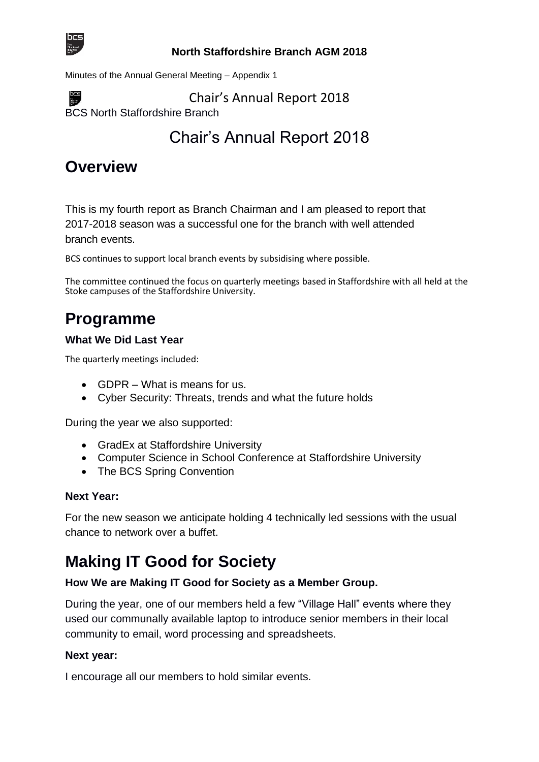

 $DCS$ 

### **North Staffordshire Branch AGM 2018**

Minutes of the Annual General Meeting – Appendix 1

Chair's Annual Report 2018

BCS North Staffordshire Branch

Chair's Annual Report 2018

## **Overview**

This is my fourth report as Branch Chairman and I am pleased to report that 2017-2018 season was a successful one for the branch with well attended branch events.

BCS continues to support local branch events by subsidising where possible.

The committee continued the focus on quarterly meetings based in Staffordshire with all held at the Stoke campuses of the Staffordshire University.

## **Programme**

## **What We Did Last Year**

The quarterly meetings included:

- GDPR What is means for us.
- Cyber Security: Threats, trends and what the future holds

During the year we also supported:

- GradEx at Staffordshire University
- Computer Science in School Conference at Staffordshire University
- The BCS Spring Convention

## **Next Year:**

For the new season we anticipate holding 4 technically led sessions with the usual chance to network over a buffet.

## **Making IT Good for Society**

## **How We are Making IT Good for Society as a Member Group.**

During the year, one of our members held a few "Village Hall" events where they used our communally available laptop to introduce senior members in their local community to email, word processing and spreadsheets.

## **Next year:**

I encourage all our members to hold similar events.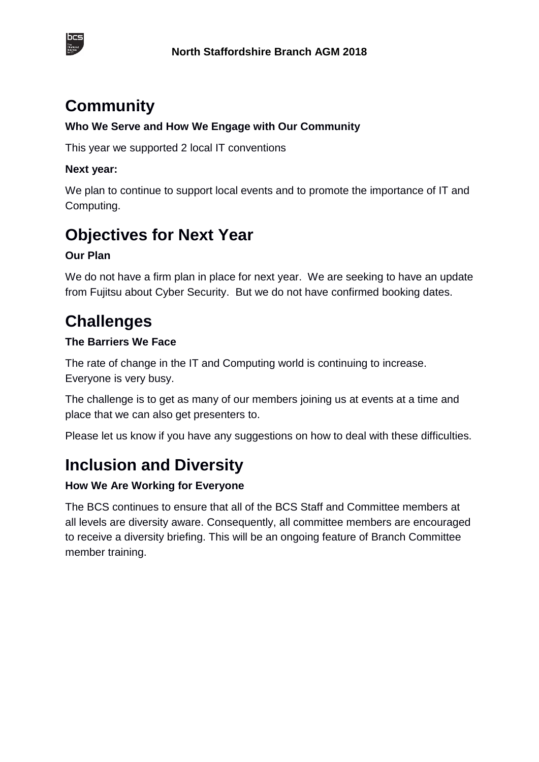



## **Community**

## **Who We Serve and How We Engage with Our Community**

This year we supported 2 local IT conventions

### **Next year:**

We plan to continue to support local events and to promote the importance of IT and Computing.

# **Objectives for Next Year**

## **Our Plan**

We do not have a firm plan in place for next year. We are seeking to have an update from Fujitsu about Cyber Security. But we do not have confirmed booking dates.

## **Challenges**

## **The Barriers We Face**

The rate of change in the IT and Computing world is continuing to increase. Everyone is very busy.

The challenge is to get as many of our members joining us at events at a time and place that we can also get presenters to.

Please let us know if you have any suggestions on how to deal with these difficulties.

## **Inclusion and Diversity**

## **How We Are Working for Everyone**

The BCS continues to ensure that all of the BCS Staff and Committee members at all levels are diversity aware. Consequently, all committee members are encouraged to receive a diversity briefing. This will be an ongoing feature of Branch Committee member training.